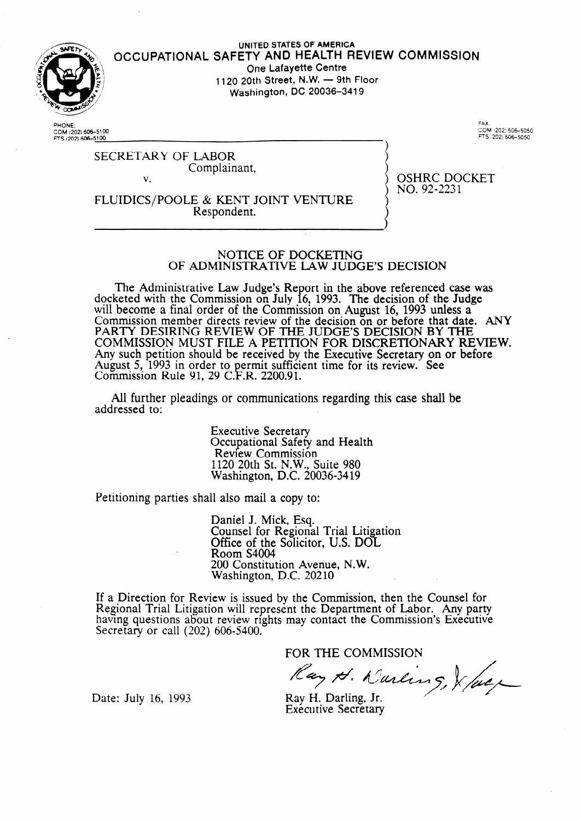

#### **UNITED STATES OF** AMERICA OCCUPATIONAL SAFETY AND HEALTH REVIEW COMMISSION **One Lafayette Centre 1120 20th Street, N.W. - 9th Floor Washington, DC 20036-3419**

**PHONE:**  COM (202) 606-5100 **FTS** (202) 606-5100

COM : 202) 606-5050 FTS (202) 606-5050

OSHRC DOCKET

NO. 92-223 1

SECRETARY OF LABOR Complainant, v.

FLUIDICS/POOLE & KENT JOINT VENTURE Respondent.

#### NOTICE OF DOCKETING OF ADMINISTRATIVE LAW JUDGE'S DECISION

The Administrative Law Judge's Report in the above referenced case was docketed with the Commission on July 16, 1993. The decision of the Judge will become a final order of the Commission on August 16, 1993 unless a Commission member directs review of the decision on or before that date. ANY PARTY DESIRING REVIEW OF THE JUDGE'S DECISION BY THE COMMISSION MUST FILE A PETITION FOR DISCRETIONARY REVIEW. Any such petition should be received by the Executive Secretary on or before August 5, 1993 in order to permit sufficient time for its review. See Commission Rule 91, 29 C.F.R. 2200.91.

All further pleadings or communications regarding this case shall be addressed to:

> Executive Secretary Occupational Safety and Health Review Commission 1120 20th St. N.W., Suite 980 Washington, D.C. 20036-3419

Petitioning parties shall also mail a copy to:

Daniel J. Mick, Esq. Counsel for Regional Trial Litigation Office of the Solicitor, U.S. DOL Room S4004 200 Constitution Avenue, N.W. Washington, D.C. 20210

If a Direction for Review is issued by the Commission, then the Counsel for Regional Trial Litigation will represent the Department of Labor. Any party having questions about review rights may contact the Commission's Executive Secretary or call (202) 606-5400.

FOR THE COMMISSION

Ray H. Warling, X/ue

Ray H. Darling, Jr. Executive Secretary

Date: July 16, 1993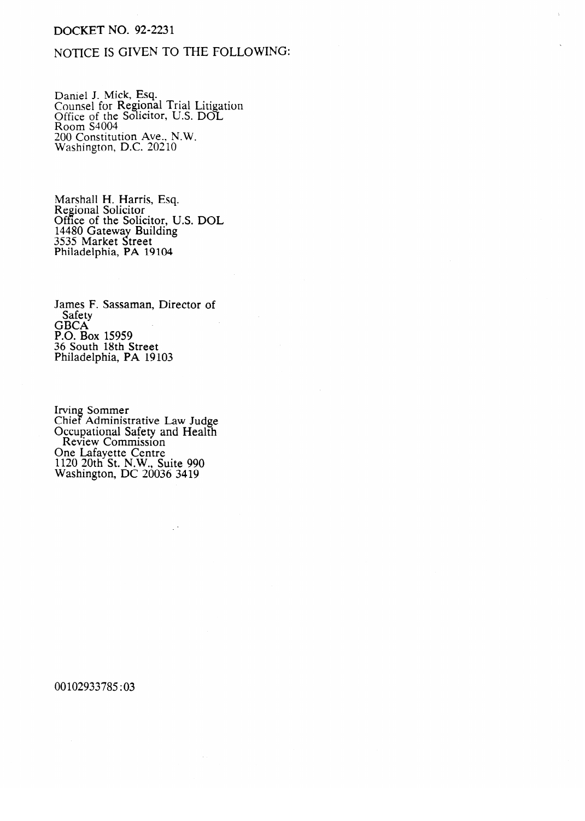## DOCKET NO. 92-2231

## NOTICE IS GIVEN TO THE FOLLOWING:

Daniel J. Mick, Esq.<br>Counsel for Regiona Counsel for Regional Trial Litigation Office of the Solitation, U.S. DOL:<br>Room  $$4004$ Room Stoot<br>200 Constitut  $\frac{200}{8}$  Constitution  $\frac{200}{8}$ ,  $\frac{20210}{8}$  $M_{\text{asim}}$  ,  $D_{\text{coim}}$   $D_{\text{co}}$   $D_{\text{co}}$ 

Regional Solicitor Films Office of the Solio 14480 Gateway Building 3535 Market Street Philadelphia, PA 19

James F. Sassaman, Director of  $Sarecy$   $CycA$  $\mathcal{L}_{\mathbf{D}}^{\mathbf{D}}$ F.U. D<br>36 Sou 50 SOULII IOLII S<br>Philadalnhia D/  $\mathbf{r}$  in autopina,  $\mathbf{r}$   $\mathbf{A}$  is

**Office Premiums** Companished Superiorius Indiana<br>Review Commission One Lafavette Centre  $120$  20th St. N.W.. S Washington, DC 2003  $1120$ 

00102933785:03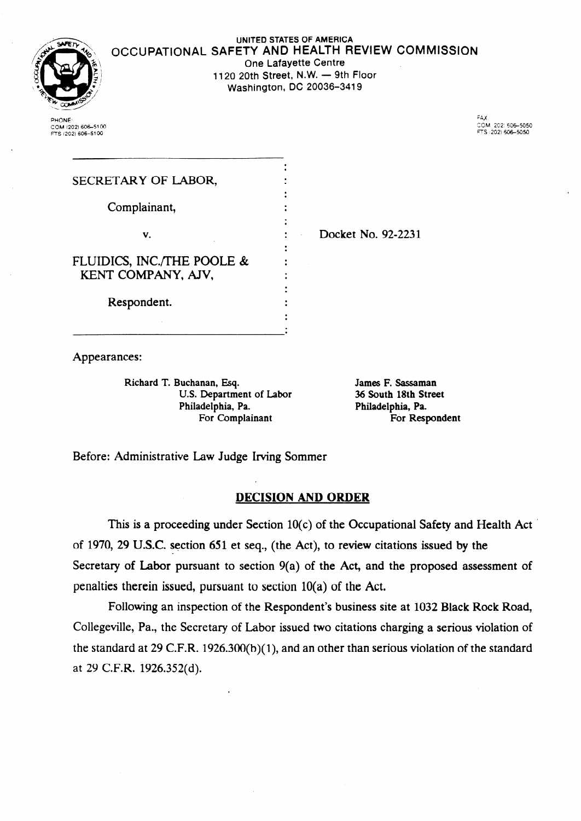

COM (202) 606-5100 Frs (202) 606-5100

## **UNITED STATES OF AMERICA**  OCCUPATIONAL SAFETY AND HEALTH REVIEW COMMISSION **One Lafayette Centre**

**1120 20th Street, N.W. - 9th Floor Washington, DC 20036-3419** 

FAX.<br>COM (202) 606–505<br>FTS (202) 606–5050

| SECRETARY OF LABOR,        |                    |
|----------------------------|--------------------|
| Complainant,               |                    |
| v.                         | Docket No. 92-2231 |
| FLUIDICS, INC./THE POOLE & |                    |
| KENT COMPANY, AJV,         |                    |
| Respondent.                |                    |
|                            |                    |

Appearances:

Richard T. Buchanan, Esq.<br>U.S. Department of Labor 36 South 18th Street U.S. Department of Labor Philadelphia, Pa. Philadelphia, Pa. For Complainant

Before: Administrative Law Judge Irving Sommer

## DECISION AND ORDER

This is a proceeding under Section  $10(c)$  of the Occupational Safety and Health Act of 1970, 29 U.S.C. section 65 1 et seq., (the Act), to review citations issued by the Secretary of Labor pursuant to section 9(a) of the Act, and the proposed assessment of penalties therein issued, pursuant to section 10(a) of the Act.

Following an inspection of the Respondent's business site at 1032 Black Rock Road, Collegeville, Pa., the Secretary of Labor issued two citations charging a serious violation of the standard at 29 C.F.R. 1926.300(b)(1), and an other than serious violation of the standard at 29 C.F.R. 1926.352(d).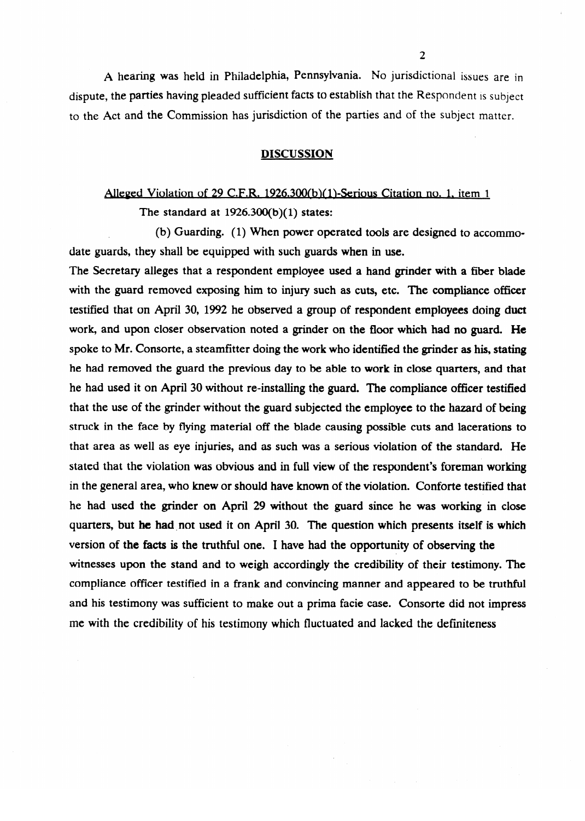A hearing was held in Philadelphia, Pennsylvania. No jurisdictional issues are in dispute, the parties having pleaded sufficient facts to establish that the Respondent is subject to the Act and the Commission has jurisdiction of the parties and of the subject matter.

#### DISCUSSION

# Alleged Violation of 29 C.F.R. 1926.300(b)(1)-Serious Citation no. 1, item 1<br>The standard at 1926.300(b)(1) states:

(b) Guarding. (1) When power operated tools are designed to accommodate guards, they shall be equipped with such guards when in use.

The Secretary alleges that a respondent employee used a hand grinder with a fiber blade with the guard removed exposing him to injury such as cuts, etc. The compliance officer testified that on April 30, 1992 he observed a group of respondent employees doing duct work, and upon closer observation noted a grinder on the floor which had no guard. He spoke to Mr. Consorte, a steamfitter doing the work who identified the grinder as his, stating. he had removed the guard the previous day to be able to work in close quarters, and that he had used it on April 30 without re-installing the guard. The compliance officer testified that the use of the grinder without the guard subjected the employee to the hazard of being struck in the face by flying material off the blade causing possible cuts and lacerations to that area as well as eye injuries, and as such was a serious violation of the standard. He stated that the violation was obvious and in full view of the respondent's foreman working in the general area, who knew or should have known of the violation. Conforte testified that he had used the grinder on April 29 without the guard since he was working in close quarters, but he had not used it on April 30. The question which presents itself is which version of the facts is the truthful one. I have had the opportunity of observing the witnesses upon the stand and to weigh accordingly the credibility of their testimony. The compliance officer testified in a frank and convincing manner and appeared to be truthful and his testimony was sufficient to make out a prima facie case. Consorte did not impress me with the credibility of his testimony which fluctuated and lacked the definiteness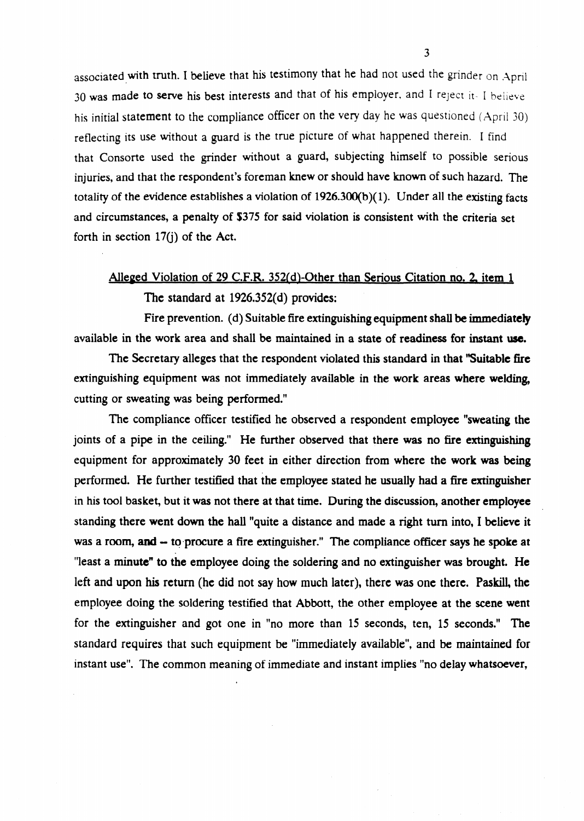associated with truth. I believe that his testimony that he had not used the grinder on April 30 was made to serve his best interests and that of his employer, and I reject it- I believe his initial statement to the compliance officer on the very day he was questioned (April 30) reflecting its use without a guard is the true picture of what happened therein. I find that Consorte used the grinder without a guard, subjecting himself to possible serious injuries, and that the respondent's foreman knew or should have known of such hazard. The totality of the evidence establishes a violation of  $1926.300(b)(1)$ . Under all the existing facts and circumstances, a penalty of \$375 for said violation is consistent with the criteria set forth in section  $17(i)$  of the Act.

## Alleged Violation of 29 C.F.R. 352(d)-Other than Serious Citation no. 2. item 1 The standard at 1926.352(d) provides:

Fire prevention. (d) Suitable fire extinguishing equipment shall be immediately available in the work area and shall be maintained in a state of readiness for instant use.

The Secretary alleges that the respondent violated this standard in that "Suitable fire extinguishing equipment was not immediately available in the work areas where welding, cutting or sweating was being performed."

The compliance officer testified he observed a respondent employee "sweating the joints of a pipe in the ceiling." He further observed that there was no fire extinguishing equipment for approximately 30 feet in either direction from where the work was being performed. He further testified that the employee stated he usually had a fire extinguisher in his tool basket, but it was not there at that time. During the discussion, another employee standing there went down the hall "quite a distance and made a right turn into, I believe it was a room, and - to procure a fire extinguisher." The compliance officer says he spoke at "least a minute" to the employee doing the soldering and no extinguisher was brought. He left and upon his return (he did not say how much later), there was one there. Paskill, the employee doing the soldering testified that Abbott, the other employee at the scene went for the extinguisher and got one in "no more than 15 seconds, ten, 15 seconds." The standard requires that such equipment be "immediately available", and be maintained for instant use". The common meaning of immediate and instant implies "no delay whatsoever,